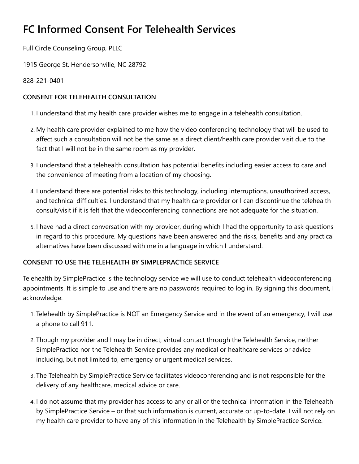## **FC Informed Consent For Telehealth Services**

Full Circle Counseling Group, PLLC

1915 George St. Hendersonville, NC 28792

828-221-0401

## **CONSENT FOR TELEHEALTH CONSULTATION**

- 1. I understand that my health care provider wishes me to engage in a telehealth consultation.
- 2. My health care provider explained to me how the video conferencing technology that will be used to affect such a consultation will not be the same as a direct client/health care provider visit due to the fact that I will not be in the same room as my provider.
- 3. I understand that a telehealth consultation has potential benefits including easier access to care and the convenience of meeting from a location of my choosing.
- 4. I understand there are potential risks to this technology, including interruptions, unauthorized access, and technical difficulties. I understand that my health care provider or I can discontinue the telehealth consult/visit if it is felt that the videoconferencing connections are not adequate for the situation.
- 5. I have had a direct conversation with my provider, during which I had the opportunity to ask questions in regard to this procedure. My questions have been answered and the risks, benefits and any practical alternatives have been discussed with me in a language in which I understand.

## **CONSENT TO USE THE TELEHEALTH BY SIMPLEPRACTICE SERVICE**

Telehealth by SimplePractice is the technology service we will use to conduct telehealth videoconferencing appointments. It is simple to use and there are no passwords required to log in. By signing this document, I acknowledge:

- 1. Telehealth by SimplePractice is NOT an Emergency Service and in the event of an emergency, I will use a phone to call 911.
- 2. Though my provider and I may be in direct, virtual contact through the Telehealth Service, neither SimplePractice nor the Telehealth Service provides any medical or healthcare services or advice including, but not limited to, emergency or urgent medical services.
- 3. The Telehealth by SimplePractice Service facilitates videoconferencing and is not responsible for the delivery of any healthcare, medical advice or care.
- 4. I do not assume that my provider has access to any or all of the technical information in the Telehealth by SimplePractice Service – or that such information is current, accurate or up-to-date. I will not rely on my health care provider to have any of this information in the Telehealth by SimplePractice Service.